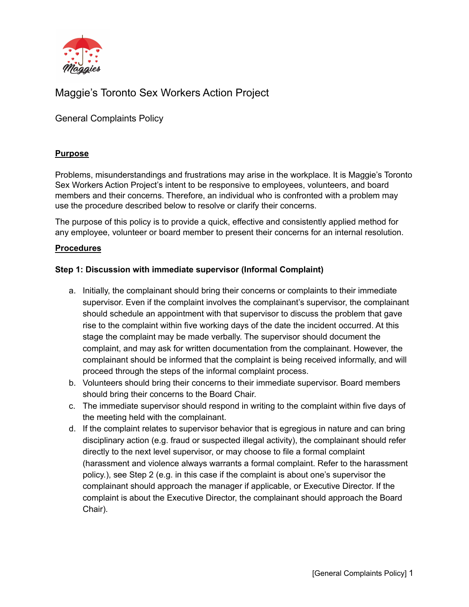

# Maggie's Toronto Sex Workers Action Project

General Complaints Policy

### **Purpose**

Problems, misunderstandings and frustrations may arise in the workplace. It is Maggie's Toronto Sex Workers Action Project's intent to be responsive to employees, volunteers, and board members and their concerns. Therefore, an individual who is confronted with a problem may use the procedure described below to resolve or clarify their concerns.

The purpose of this policy is to provide a quick, effective and consistently applied method for any employee, volunteer or board member to present their concerns for an internal resolution.

#### **Procedures**

#### **Step 1: Discussion with immediate supervisor (Informal Complaint)**

- a. Initially, the complainant should bring their concerns or complaints to their immediate supervisor. Even if the complaint involves the complainant's supervisor, the complainant should schedule an appointment with that supervisor to discuss the problem that gave rise to the complaint within five working days of the date the incident occurred. At this stage the complaint may be made verbally. The supervisor should document the complaint, and may ask for written documentation from the complainant. However, the complainant should be informed that the complaint is being received informally, and will proceed through the steps of the informal complaint process.
- b. Volunteers should bring their concerns to their immediate supervisor. Board members should bring their concerns to the Board Chair.
- c. The immediate supervisor should respond in writing to the complaint within five days of the meeting held with the complainant.
- d. If the complaint relates to supervisor behavior that is egregious in nature and can bring disciplinary action (e.g. fraud or suspected illegal activity), the complainant should refer directly to the next level supervisor, or may choose to file a formal complaint (harassment and violence always warrants a formal complaint. Refer to the harassment policy.), see Step 2 (e.g. in this case if the complaint is about one's supervisor the complainant should approach the manager if applicable, or Executive Director. If the complaint is about the Executive Director, the complainant should approach the Board Chair).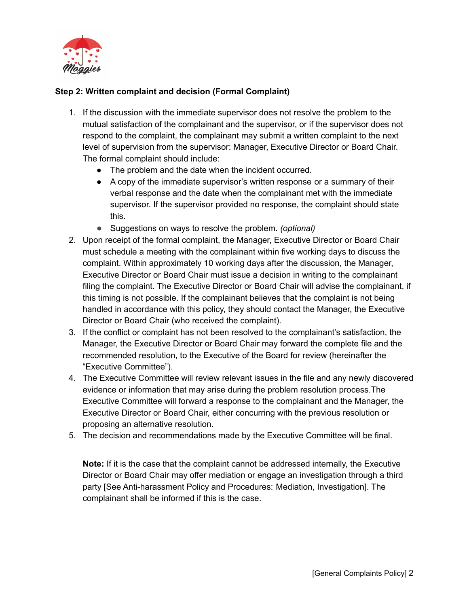

## **Step 2: Written complaint and decision (Formal Complaint)**

- 1. If the discussion with the immediate supervisor does not resolve the problem to the mutual satisfaction of the complainant and the supervisor, or if the supervisor does not respond to the complaint, the complainant may submit a written complaint to the next level of supervision from the supervisor: Manager, Executive Director or Board Chair. The formal complaint should include:
	- The problem and the date when the incident occurred.
	- A copy of the immediate supervisor's written response or a summary of their verbal response and the date when the complainant met with the immediate supervisor. If the supervisor provided no response, the complaint should state this.
	- Suggestions on ways to resolve the problem. *(optional)*
- 2. Upon receipt of the formal complaint, the Manager, Executive Director or Board Chair must schedule a meeting with the complainant within five working days to discuss the complaint. Within approximately 10 working days after the discussion, the Manager, Executive Director or Board Chair must issue a decision in writing to the complainant filing the complaint. The Executive Director or Board Chair will advise the complainant, if this timing is not possible. If the complainant believes that the complaint is not being handled in accordance with this policy, they should contact the Manager, the Executive Director or Board Chair (who received the complaint).
- 3. If the conflict or complaint has not been resolved to the complainant's satisfaction, the Manager, the Executive Director or Board Chair may forward the complete file and the recommended resolution, to the Executive of the Board for review (hereinafter the "Executive Committee").
- 4. The Executive Committee will review relevant issues in the file and any newly discovered evidence or information that may arise during the problem resolution process.The Executive Committee will forward a response to the complainant and the Manager, the Executive Director or Board Chair, either concurring with the previous resolution or proposing an alternative resolution.
- 5. The decision and recommendations made by the Executive Committee will be final.

**Note:** If it is the case that the complaint cannot be addressed internally, the Executive Director or Board Chair may offer mediation or engage an investigation through a third party [See Anti-harassment Policy and Procedures: Mediation, Investigation]. The complainant shall be informed if this is the case.